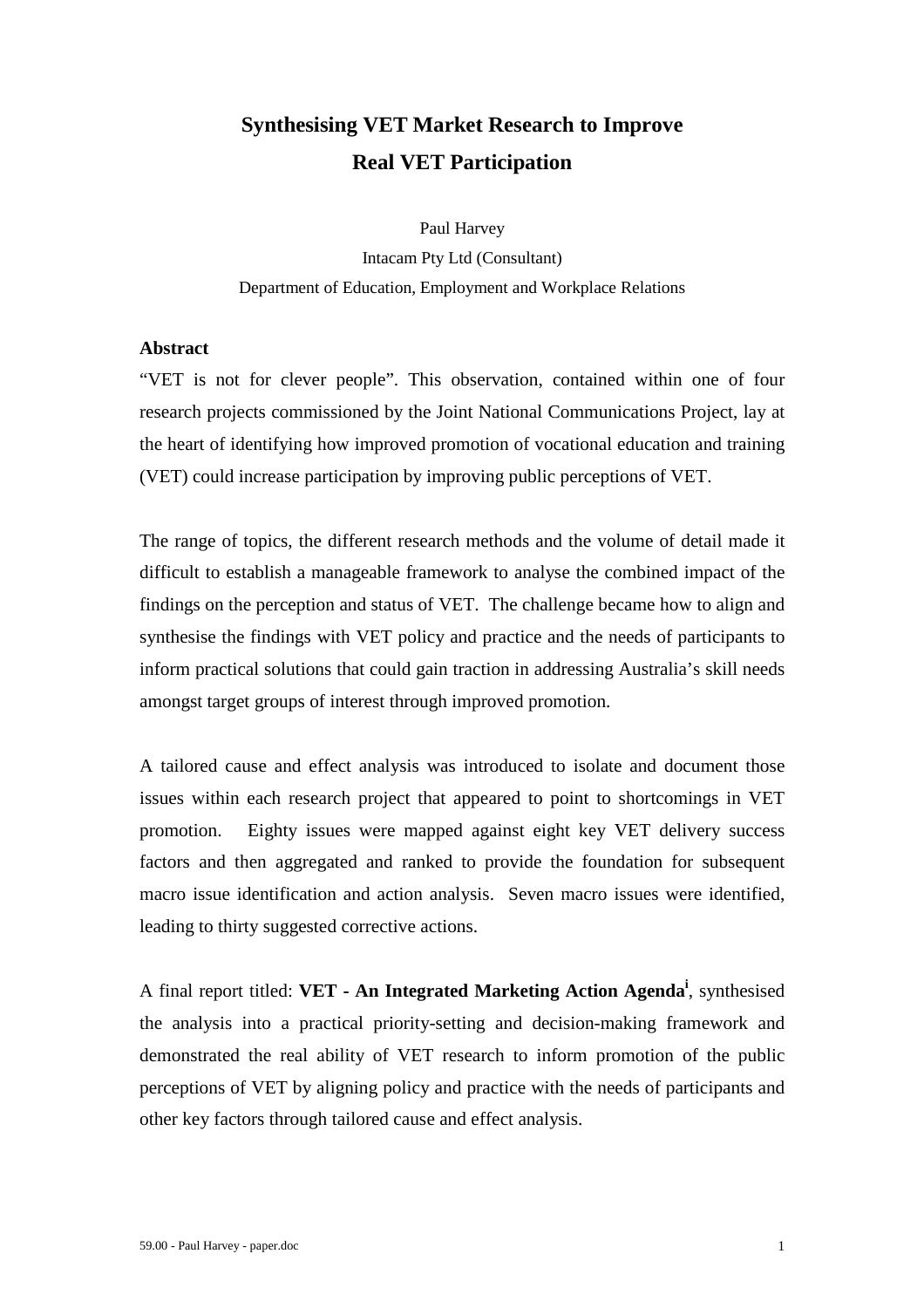# **Synthesising VET Market Research to Improve Real VET Participation**

Paul Harvey Intacam Pty Ltd (Consultant) Department of Education, Employment and Workplace Relations

## **Abstract**

"VET is not for clever people". This observation, contained within one of four research projects commissioned by the Joint National Communications Project, lay at the heart of identifying how improved promotion of vocational education and training (VET) could increase participation by improving public perceptions of VET.

The range of topics, the different research methods and the volume of detail made it difficult to establish a manageable framework to analyse the combined impact of the findings on the perception and status of VET. The challenge became how to align and synthesise the findings with VET policy and practice and the needs of participants to inform practical solutions that could gain traction in addressing Australia's skill needs amongst target groups of interest through improved promotion.

A tailored cause and effect analysis was introduced to isolate and document those issues within each research project that appeared to point to shortcomings in VET promotion. Eighty issues were mapped against eight key VET delivery success factors and then aggregated and ranked to provide the foundation for subsequent macro issue identification and action analysis. Seven macro issues were identified, leading to thirty suggested corrective actions.

A final report titled: **VET - An Integrated Marketing Action Agenda<sup>i</sup>** , synthesised the analysis into a practical priority-setting and decision-making framework and demonstrated the real ability of VET research to inform promotion of the public perceptions of VET by aligning policy and practice with the needs of participants and other key factors through tailored cause and effect analysis.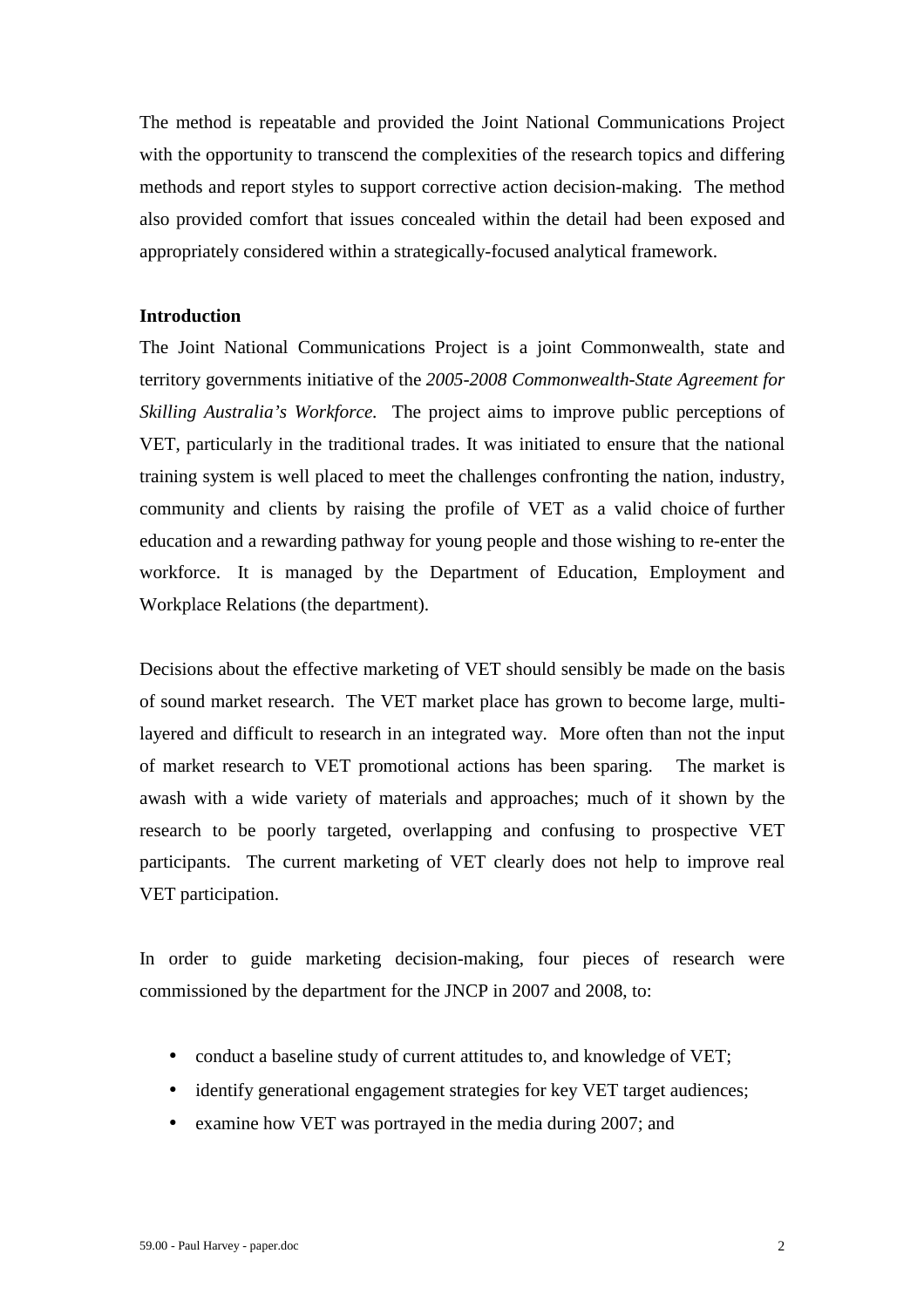The method is repeatable and provided the Joint National Communications Project with the opportunity to transcend the complexities of the research topics and differing methods and report styles to support corrective action decision-making. The method also provided comfort that issues concealed within the detail had been exposed and appropriately considered within a strategically-focused analytical framework.

## **Introduction**

The Joint National Communications Project is a joint Commonwealth, state and territory governments initiative of the *2005-2008 Commonwealth-State Agreement for Skilling Australia's Workforce.* The project aims to improve public perceptions of VET, particularly in the traditional trades. It was initiated to ensure that the national training system is well placed to meet the challenges confronting the nation, industry, community and clients by raising the profile of VET as a valid choice of further education and a rewarding pathway for young people and those wishing to re-enter the workforce. It is managed by the Department of Education, Employment and Workplace Relations (the department).

Decisions about the effective marketing of VET should sensibly be made on the basis of sound market research. The VET market place has grown to become large, multilayered and difficult to research in an integrated way. More often than not the input of market research to VET promotional actions has been sparing. The market is awash with a wide variety of materials and approaches; much of it shown by the research to be poorly targeted, overlapping and confusing to prospective VET participants. The current marketing of VET clearly does not help to improve real VET participation.

In order to guide marketing decision-making, four pieces of research were commissioned by the department for the JNCP in 2007 and 2008, to:

- conduct a baseline study of current attitudes to, and knowledge of VET;
- identify generational engagement strategies for key VET target audiences;
- examine how VET was portrayed in the media during 2007; and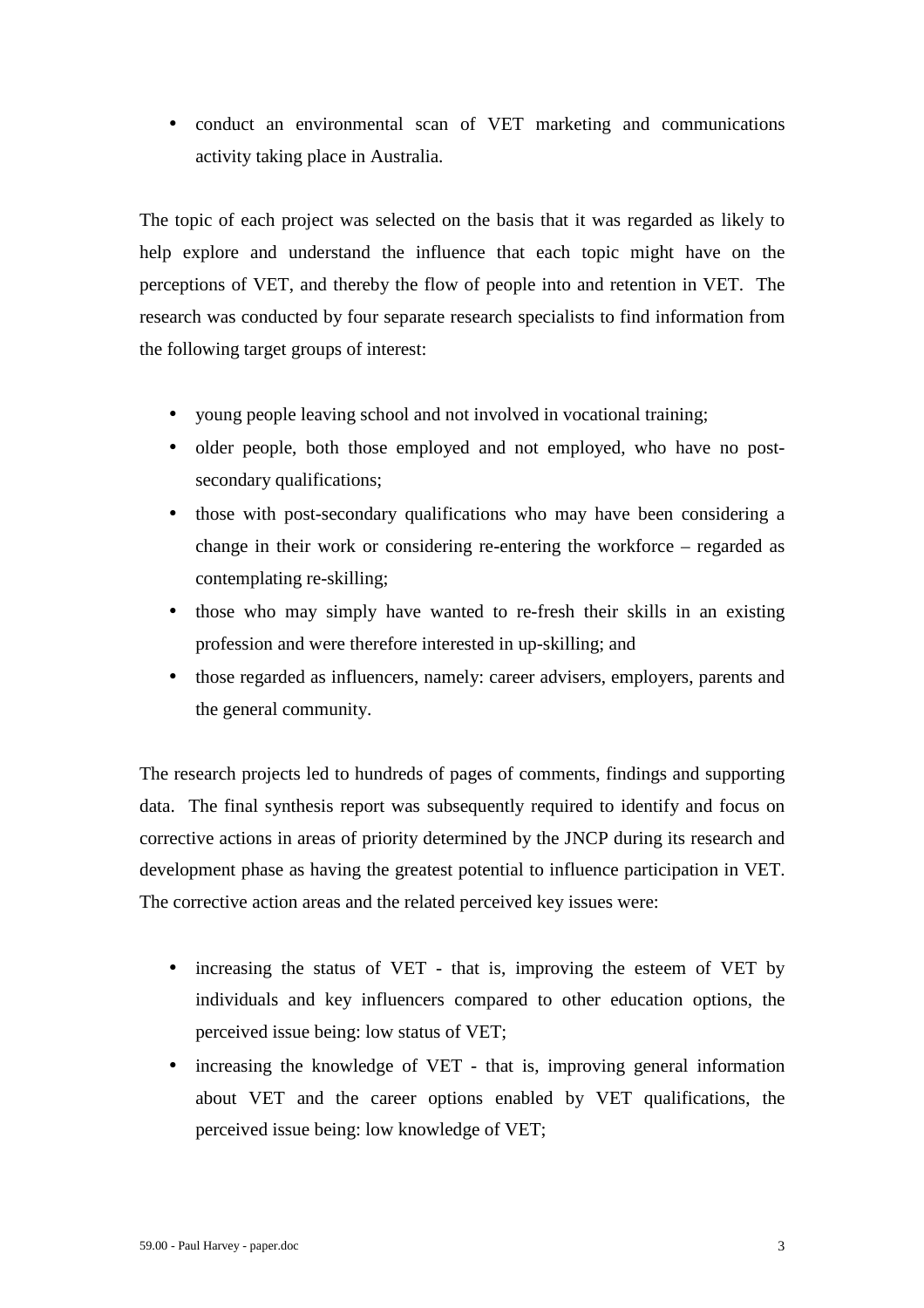• conduct an environmental scan of VET marketing and communications activity taking place in Australia.

The topic of each project was selected on the basis that it was regarded as likely to help explore and understand the influence that each topic might have on the perceptions of VET, and thereby the flow of people into and retention in VET. The research was conducted by four separate research specialists to find information from the following target groups of interest:

- young people leaving school and not involved in vocational training;
- older people, both those employed and not employed, who have no postsecondary qualifications;
- those with post-secondary qualifications who may have been considering a change in their work or considering re-entering the workforce – regarded as contemplating re-skilling;
- those who may simply have wanted to re-fresh their skills in an existing profession and were therefore interested in up-skilling; and
- those regarded as influencers, namely: career advisers, employers, parents and the general community.

The research projects led to hundreds of pages of comments, findings and supporting data. The final synthesis report was subsequently required to identify and focus on corrective actions in areas of priority determined by the JNCP during its research and development phase as having the greatest potential to influence participation in VET. The corrective action areas and the related perceived key issues were:

- increasing the status of VET that is, improving the esteem of VET by individuals and key influencers compared to other education options, the perceived issue being: low status of VET;
- increasing the knowledge of VET that is, improving general information about VET and the career options enabled by VET qualifications, the perceived issue being: low knowledge of VET;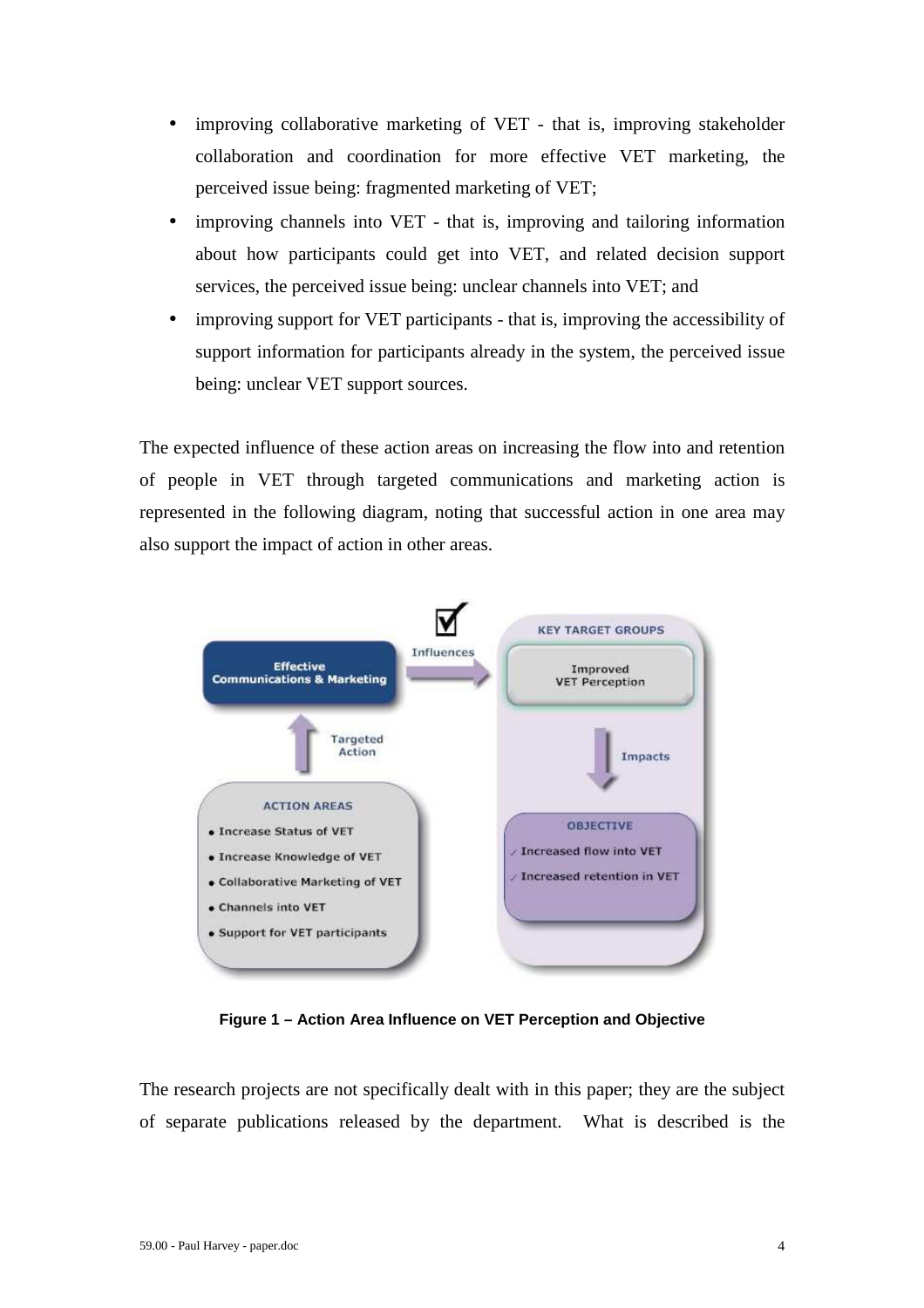- improving collaborative marketing of VET that is, improving stakeholder collaboration and coordination for more effective VET marketing, the perceived issue being: fragmented marketing of VET;
- improving channels into VET that is, improving and tailoring information about how participants could get into VET, and related decision support services, the perceived issue being: unclear channels into VET; and
- improving support for VET participants that is, improving the accessibility of support information for participants already in the system, the perceived issue being: unclear VET support sources.

The expected influence of these action areas on increasing the flow into and retention of people in VET through targeted communications and marketing action is represented in the following diagram, noting that successful action in one area may also support the impact of action in other areas.



**Figure 1 – Action Area Influence on VET Perception and Objective** 

The research projects are not specifically dealt with in this paper; they are the subject of separate publications released by the department. What is described is the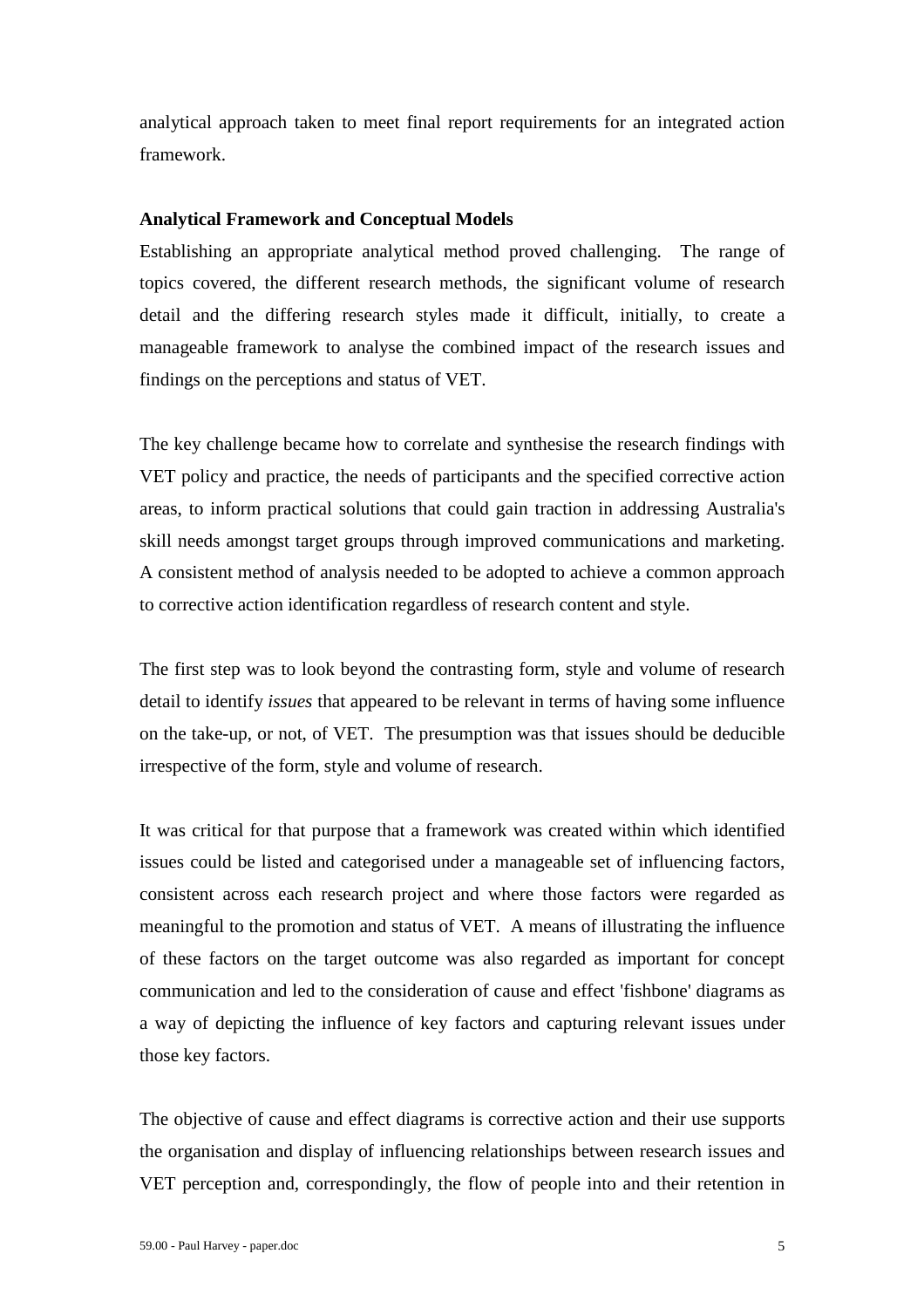analytical approach taken to meet final report requirements for an integrated action framework.

#### **Analytical Framework and Conceptual Models**

Establishing an appropriate analytical method proved challenging. The range of topics covered, the different research methods, the significant volume of research detail and the differing research styles made it difficult, initially, to create a manageable framework to analyse the combined impact of the research issues and findings on the perceptions and status of VET.

The key challenge became how to correlate and synthesise the research findings with VET policy and practice, the needs of participants and the specified corrective action areas, to inform practical solutions that could gain traction in addressing Australia's skill needs amongst target groups through improved communications and marketing. A consistent method of analysis needed to be adopted to achieve a common approach to corrective action identification regardless of research content and style.

The first step was to look beyond the contrasting form, style and volume of research detail to identify *issues* that appeared to be relevant in terms of having some influence on the take-up, or not, of VET. The presumption was that issues should be deducible irrespective of the form, style and volume of research.

It was critical for that purpose that a framework was created within which identified issues could be listed and categorised under a manageable set of influencing factors, consistent across each research project and where those factors were regarded as meaningful to the promotion and status of VET. A means of illustrating the influence of these factors on the target outcome was also regarded as important for concept communication and led to the consideration of cause and effect 'fishbone' diagrams as a way of depicting the influence of key factors and capturing relevant issues under those key factors.

The objective of cause and effect diagrams is corrective action and their use supports the organisation and display of influencing relationships between research issues and VET perception and, correspondingly, the flow of people into and their retention in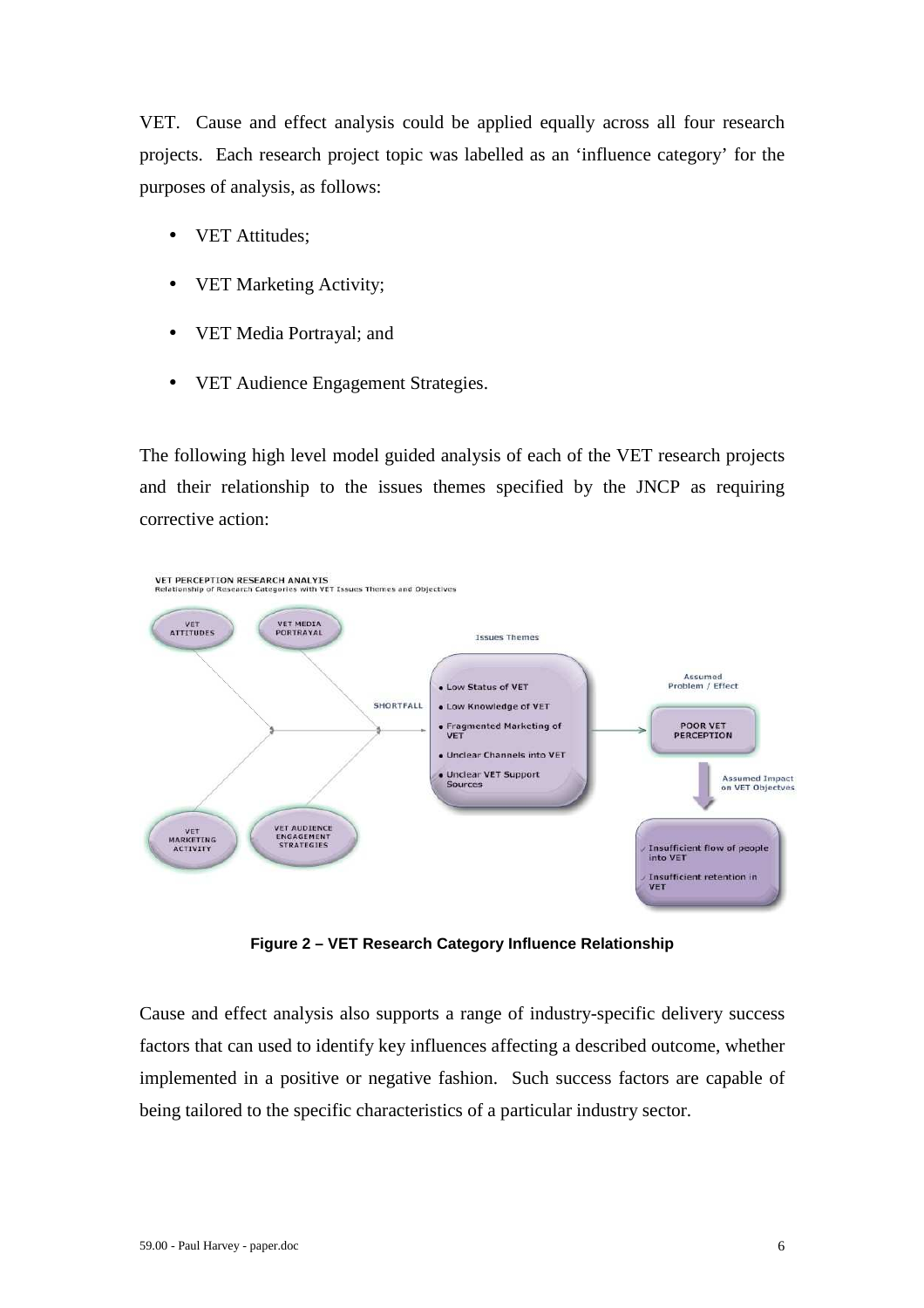VET. Cause and effect analysis could be applied equally across all four research projects. Each research project topic was labelled as an 'influence category' for the purposes of analysis, as follows:

- VET Attitudes;
- VET Marketing Activity;
- VET Media Portrayal; and
- VET Audience Engagement Strategies.

The following high level model guided analysis of each of the VET research projects and their relationship to the issues themes specified by the JNCP as requiring corrective action:



**Figure 2 – VET Research Category Influence Relationship** 

Cause and effect analysis also supports a range of industry-specific delivery success factors that can used to identify key influences affecting a described outcome, whether implemented in a positive or negative fashion. Such success factors are capable of being tailored to the specific characteristics of a particular industry sector.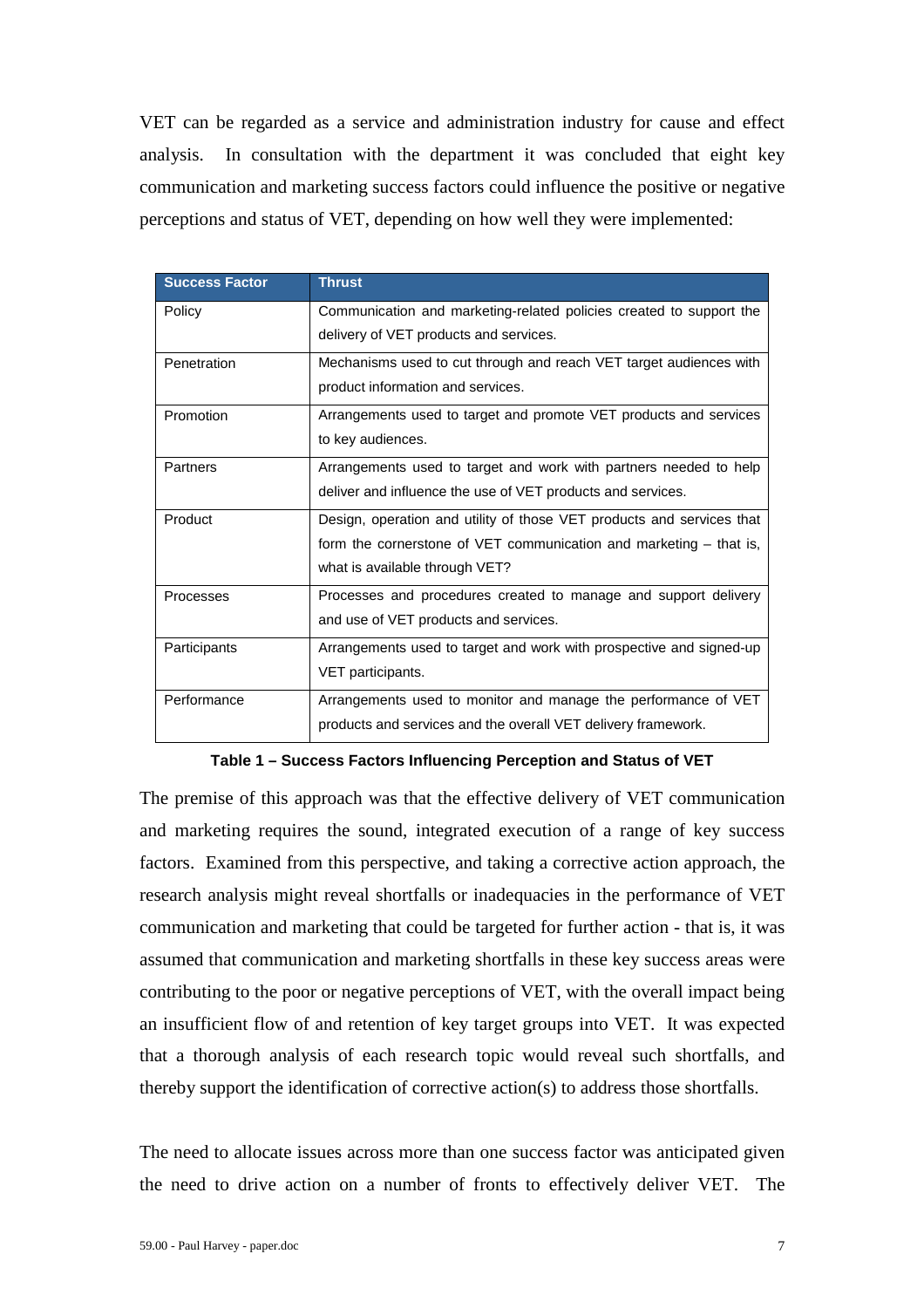VET can be regarded as a service and administration industry for cause and effect analysis. In consultation with the department it was concluded that eight key communication and marketing success factors could influence the positive or negative perceptions and status of VET, depending on how well they were implemented:

| <b>Success Factor</b> | <b>Thrust</b>                                                         |
|-----------------------|-----------------------------------------------------------------------|
| Policy                | Communication and marketing-related policies created to support the   |
|                       | delivery of VET products and services.                                |
| Penetration           | Mechanisms used to cut through and reach VET target audiences with    |
|                       | product information and services.                                     |
| Promotion             | Arrangements used to target and promote VET products and services     |
|                       | to key audiences.                                                     |
| Partners              | Arrangements used to target and work with partners needed to help     |
|                       | deliver and influence the use of VET products and services.           |
| Product               | Design, operation and utility of those VET products and services that |
|                       | form the cornerstone of VET communication and marketing $-$ that is,  |
|                       | what is available through VET?                                        |
| Processes             | Processes and procedures created to manage and support delivery       |
|                       | and use of VET products and services.                                 |
| Participants          | Arrangements used to target and work with prospective and signed-up   |
|                       | VET participants.                                                     |
| Performance           | Arrangements used to monitor and manage the performance of VET        |
|                       | products and services and the overall VET delivery framework.         |

**Table 1 – Success Factors Influencing Perception and Status of VET** 

The premise of this approach was that the effective delivery of VET communication and marketing requires the sound, integrated execution of a range of key success factors. Examined from this perspective, and taking a corrective action approach, the research analysis might reveal shortfalls or inadequacies in the performance of VET communication and marketing that could be targeted for further action - that is, it was assumed that communication and marketing shortfalls in these key success areas were contributing to the poor or negative perceptions of VET, with the overall impact being an insufficient flow of and retention of key target groups into VET. It was expected that a thorough analysis of each research topic would reveal such shortfalls, and thereby support the identification of corrective action(s) to address those shortfalls.

The need to allocate issues across more than one success factor was anticipated given the need to drive action on a number of fronts to effectively deliver VET. The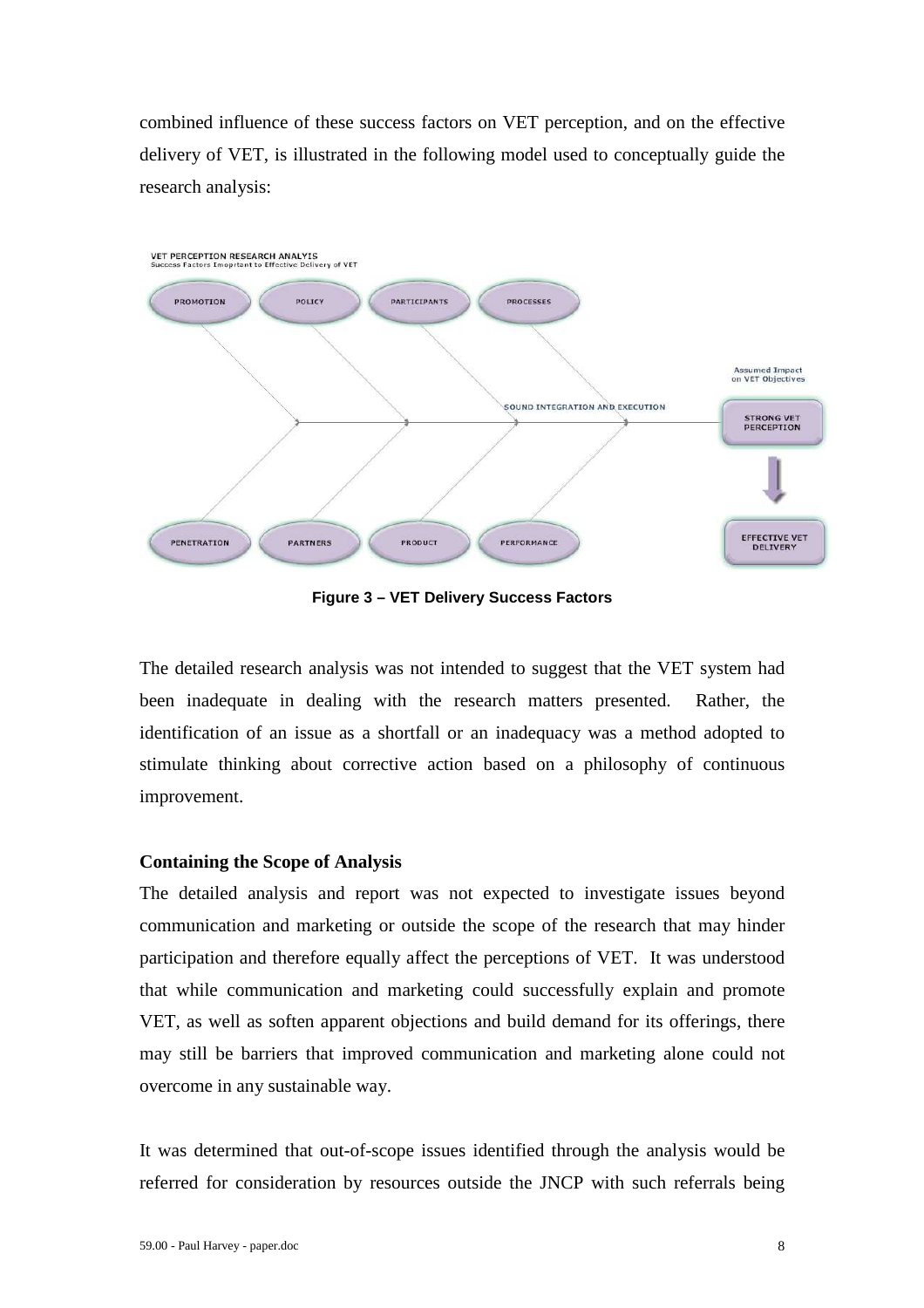combined influence of these success factors on VET perception, and on the effective delivery of VET, is illustrated in the following model used to conceptually guide the research analysis:



**Figure 3 – VET Delivery Success Factors** 

The detailed research analysis was not intended to suggest that the VET system had been inadequate in dealing with the research matters presented. Rather, the identification of an issue as a shortfall or an inadequacy was a method adopted to stimulate thinking about corrective action based on a philosophy of continuous improvement.

## **Containing the Scope of Analysis**

The detailed analysis and report was not expected to investigate issues beyond communication and marketing or outside the scope of the research that may hinder participation and therefore equally affect the perceptions of VET. It was understood that while communication and marketing could successfully explain and promote VET, as well as soften apparent objections and build demand for its offerings, there may still be barriers that improved communication and marketing alone could not overcome in any sustainable way.

It was determined that out-of-scope issues identified through the analysis would be referred for consideration by resources outside the JNCP with such referrals being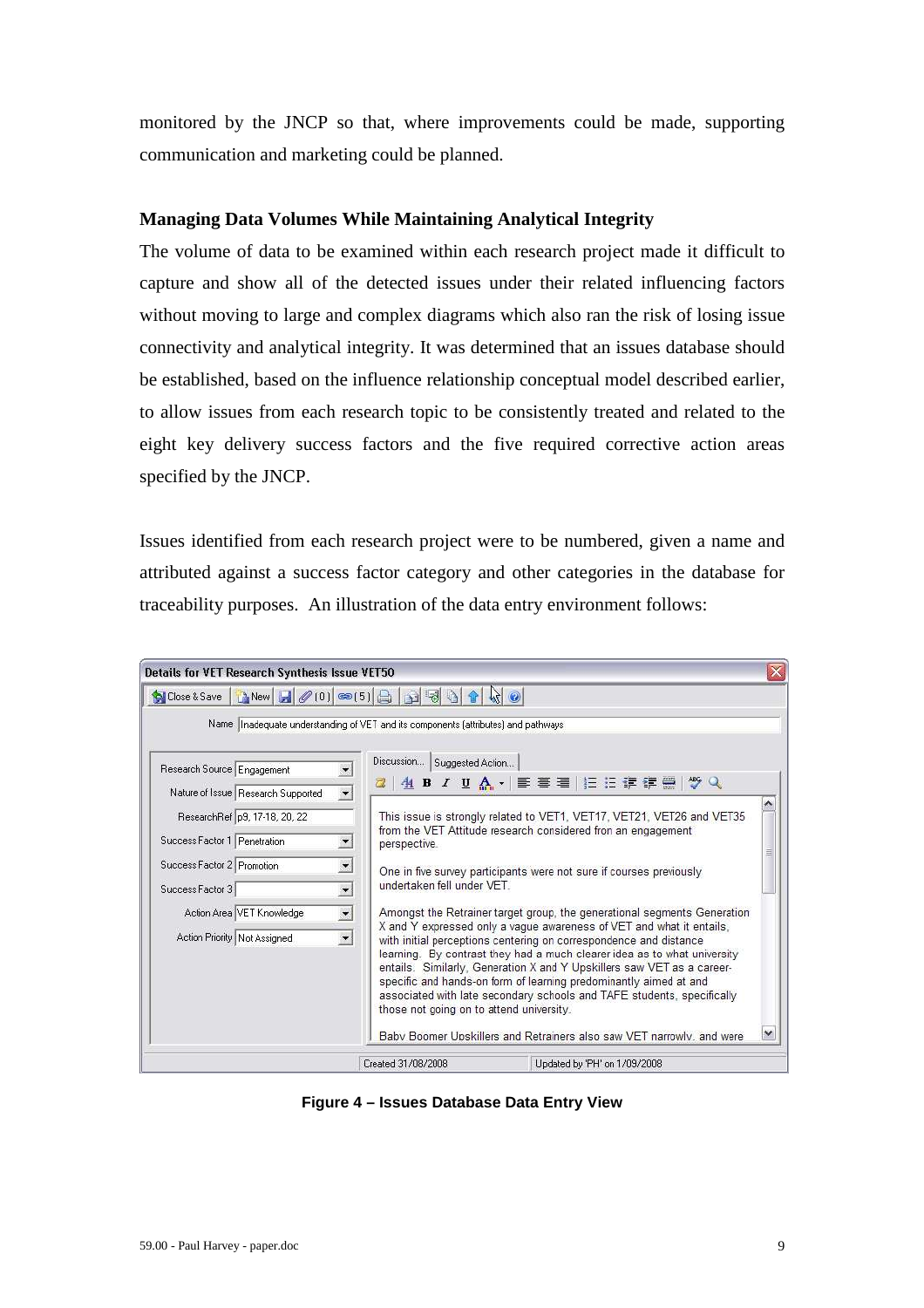monitored by the JNCP so that, where improvements could be made, supporting communication and marketing could be planned.

## **Managing Data Volumes While Maintaining Analytical Integrity**

The volume of data to be examined within each research project made it difficult to capture and show all of the detected issues under their related influencing factors without moving to large and complex diagrams which also ran the risk of losing issue connectivity and analytical integrity. It was determined that an issues database should be established, based on the influence relationship conceptual model described earlier, to allow issues from each research topic to be consistently treated and related to the eight key delivery success factors and the five required corrective action areas specified by the JNCP.

Issues identified from each research project were to be numbered, given a name and attributed against a success factor category and other categories in the database for traceability purposes. An illustration of the data entry environment follows:

| SiClose & Save   New     0 0   3   5   9 3 3 1                                                                                                                  |                                                                             |                                                                                                                                                                                                                                                                                                                                                                                                                                                                                                                                                                                                                                                                              |
|-----------------------------------------------------------------------------------------------------------------------------------------------------------------|-----------------------------------------------------------------------------|------------------------------------------------------------------------------------------------------------------------------------------------------------------------------------------------------------------------------------------------------------------------------------------------------------------------------------------------------------------------------------------------------------------------------------------------------------------------------------------------------------------------------------------------------------------------------------------------------------------------------------------------------------------------------|
| Research Source Engagement<br>Nature of Issue Research Supported<br>ResearchRef p9, 17-18, 20, 22<br>Success Factor 1 Penetration<br>Success Factor 2 Promotion | $\blacktriangledown$<br>$\vert$                                             | Name  Inadequate understanding of VET and its components (attributes) and pathways<br>Discussion   Suggested Action<br>2   4 B Z U A ·   ま 著 著   扫 扫 ま ま 書   ツ Q<br>This issue is strongly related to VET1, VET17, VET21, VET26 and VET35<br>from the VET Attitude research considered fron an engagement<br>perspective.<br>One in five survey participants were not sure if courses previously                                                                                                                                                                                                                                                                             |
| Success Factor 3<br>Action Area VET Knowledge<br>Action Priority Not Assigned                                                                                   | $\overline{\phantom{0}}$<br>$\overline{\phantom{a}}$<br>$\vert \cdot \vert$ | undertaken fell under VFT<br>Amongst the Retrainer target group, the generational segments Generation<br>X and Y expressed only a vague awareness of VET and what it entails.<br>with initial perceptions centering on correspondence and distance<br>learning. By contrast they had a much clearer idea as to what university<br>entails. Similarly, Generation X and Y Upskillers saw VET as a career-<br>specific and hands-on form of learning predominantly aimed at and<br>associated with late secondary schools and TAFE students, specifically<br>those not going on to attend university.<br>Baby Boomer Unskillers and Retrainers also saw VET narrowly, and were |

**Figure 4 – Issues Database Data Entry View**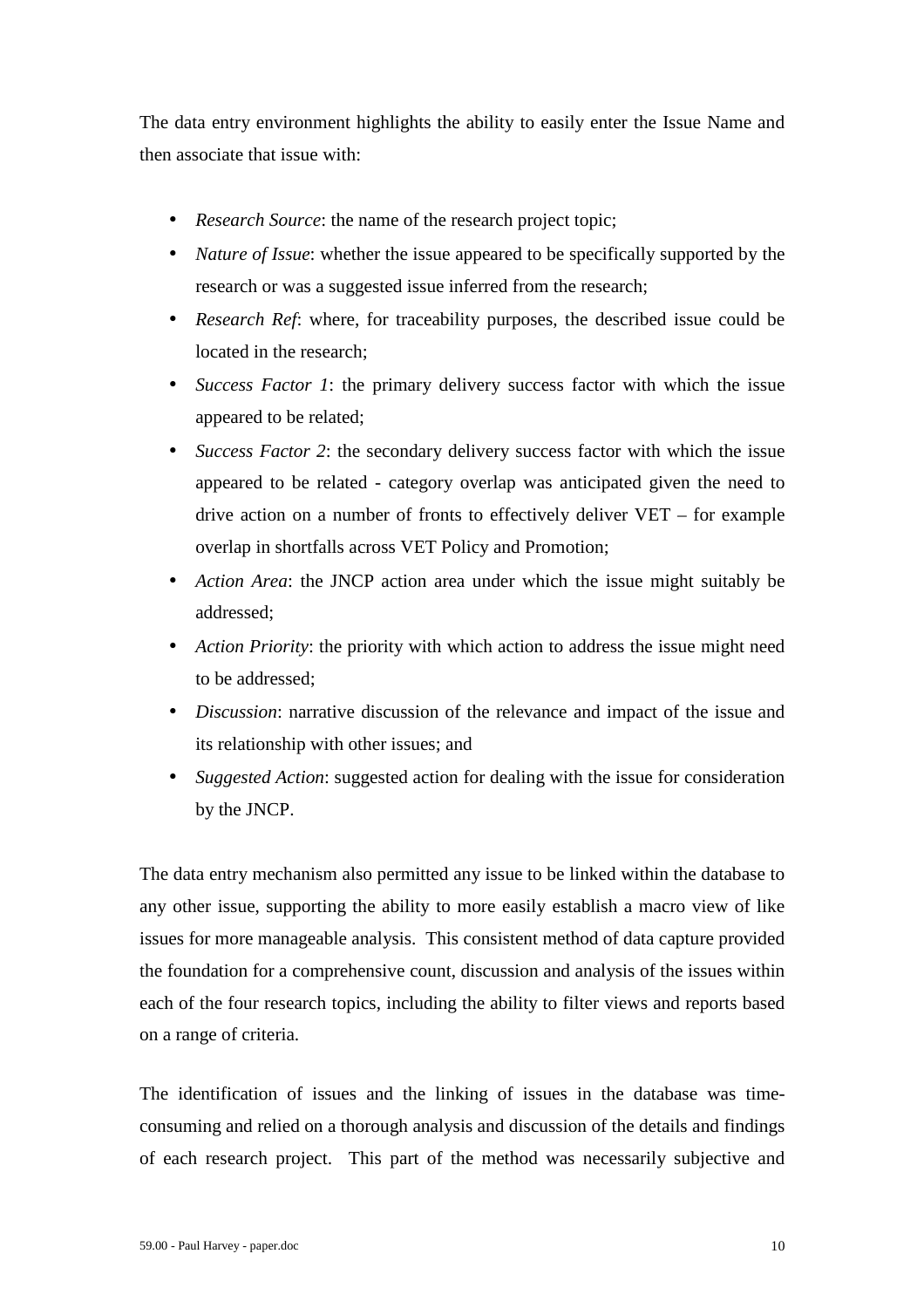The data entry environment highlights the ability to easily enter the Issue Name and then associate that issue with:

- *Research Source*: the name of the research project topic;
- *Nature of Issue*: whether the issue appeared to be specifically supported by the research or was a suggested issue inferred from the research;
- *Research Ref:* where, for traceability purposes, the described issue could be located in the research;
- *Success Factor 1*: the primary delivery success factor with which the issue appeared to be related;
- *Success Factor 2*: the secondary delivery success factor with which the issue appeared to be related - category overlap was anticipated given the need to drive action on a number of fronts to effectively deliver VET – for example overlap in shortfalls across VET Policy and Promotion;
- *Action Area*: the JNCP action area under which the issue might suitably be addressed;
- *Action Priority*: the priority with which action to address the issue might need to be addressed;
- *Discussion*: narrative discussion of the relevance and impact of the issue and its relationship with other issues; and
- *Suggested Action*: suggested action for dealing with the issue for consideration by the JNCP.

The data entry mechanism also permitted any issue to be linked within the database to any other issue, supporting the ability to more easily establish a macro view of like issues for more manageable analysis. This consistent method of data capture provided the foundation for a comprehensive count, discussion and analysis of the issues within each of the four research topics, including the ability to filter views and reports based on a range of criteria.

The identification of issues and the linking of issues in the database was timeconsuming and relied on a thorough analysis and discussion of the details and findings of each research project. This part of the method was necessarily subjective and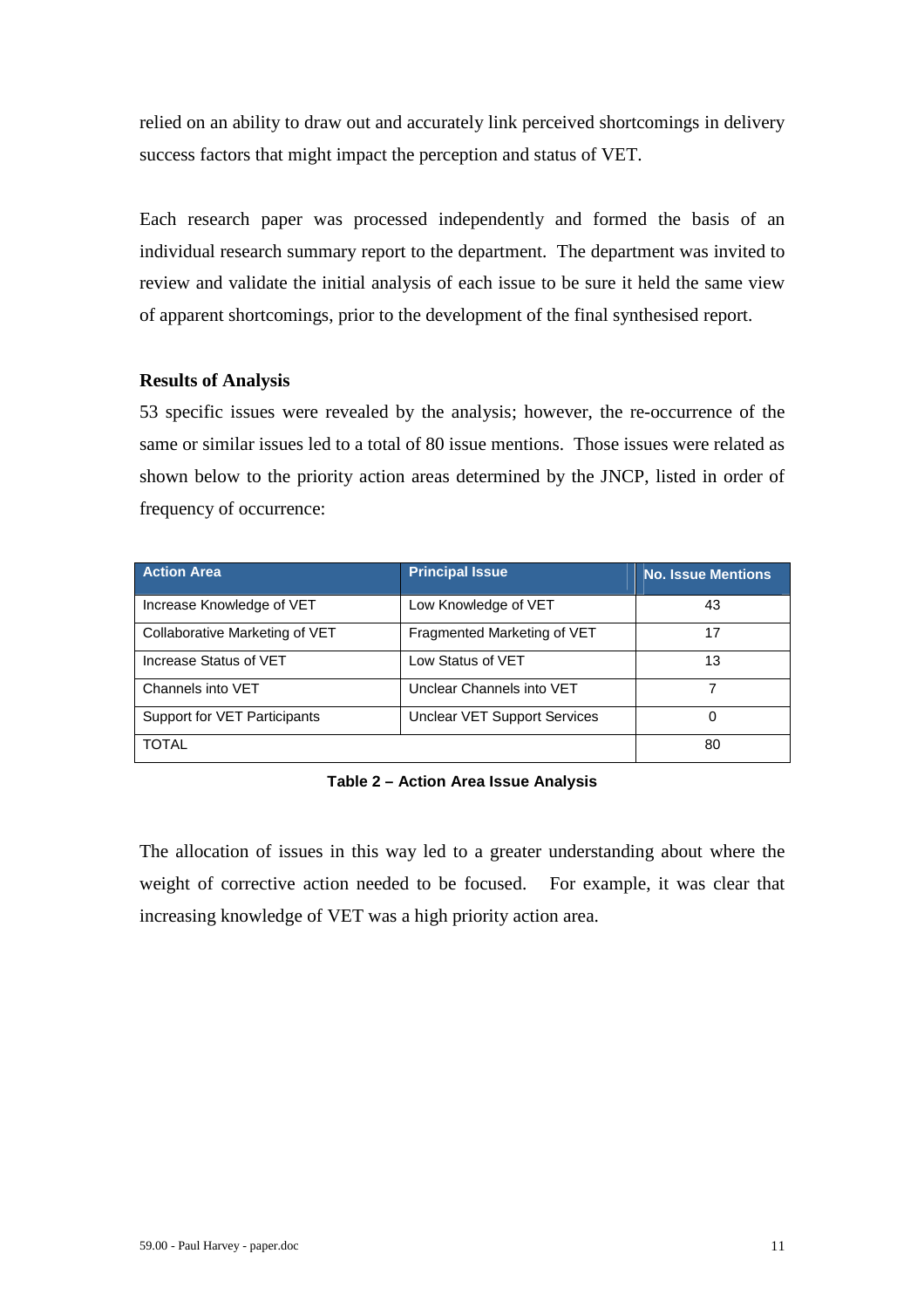relied on an ability to draw out and accurately link perceived shortcomings in delivery success factors that might impact the perception and status of VET.

Each research paper was processed independently and formed the basis of an individual research summary report to the department. The department was invited to review and validate the initial analysis of each issue to be sure it held the same view of apparent shortcomings, prior to the development of the final synthesised report.

## **Results of Analysis**

53 specific issues were revealed by the analysis; however, the re-occurrence of the same or similar issues led to a total of 80 issue mentions.Those issues were related as shown below to the priority action areas determined by the JNCP, listed in order of frequency of occurrence:

| <b>Action Area</b>             | <b>Principal Issue</b>              | <b>No. Issue Mentions</b> |
|--------------------------------|-------------------------------------|---------------------------|
| Increase Knowledge of VET      | Low Knowledge of VET                | 43                        |
| Collaborative Marketing of VET | Fragmented Marketing of VET         | 17                        |
| Increase Status of VET         | Low Status of VET                   | 13                        |
| Channels into VET              | Unclear Channels into VET           |                           |
| Support for VET Participants   | <b>Unclear VET Support Services</b> |                           |
| <b>TOTAL</b>                   |                                     | 80                        |

**Table 2 – Action Area Issue Analysis** 

The allocation of issues in this way led to a greater understanding about where the weight of corrective action needed to be focused. For example, it was clear that increasing knowledge of VET was a high priority action area.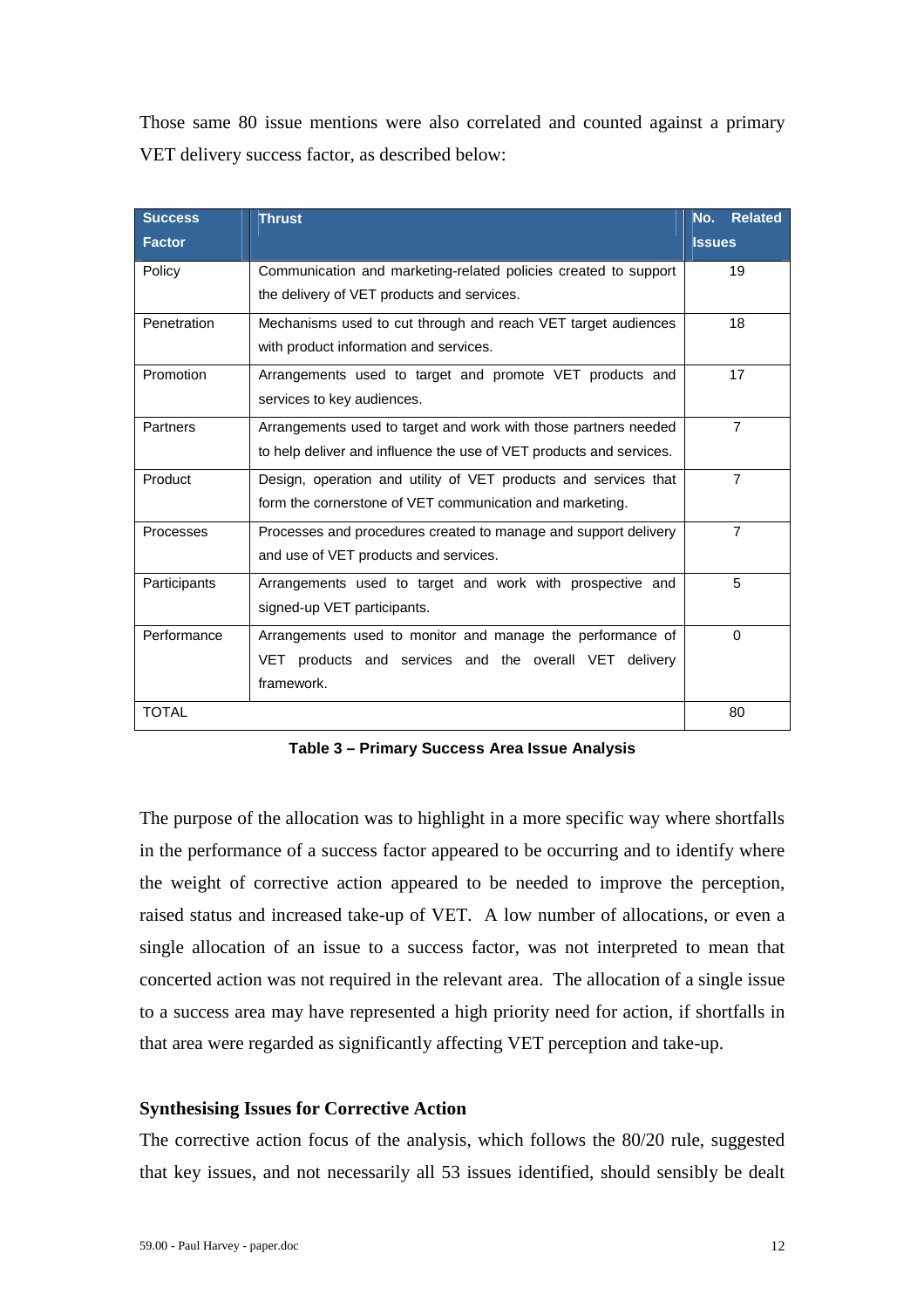Those same 80 issue mentions were also correlated and counted against a primary VET delivery success factor, as described below:

| <b>Success</b>                                                               | <b>Thrust</b>                                                       | <b>Related</b><br>No. |
|------------------------------------------------------------------------------|---------------------------------------------------------------------|-----------------------|
| <b>Factor</b>                                                                |                                                                     | <b>Issues</b>         |
| Policy                                                                       | Communication and marketing-related policies created to support     | 19                    |
|                                                                              | the delivery of VET products and services.                          |                       |
| Penetration                                                                  | Mechanisms used to cut through and reach VET target audiences       |                       |
|                                                                              | with product information and services.                              |                       |
| Promotion                                                                    | Arrangements used to target and promote VET products and            | 17                    |
|                                                                              | services to key audiences.                                          |                       |
| Partners                                                                     | Arrangements used to target and work with those partners needed     | $\overline{7}$        |
|                                                                              | to help deliver and influence the use of VET products and services. |                       |
| Product                                                                      | Design, operation and utility of VET products and services that     | $\overline{7}$        |
|                                                                              | form the cornerstone of VET communication and marketing.            |                       |
| Processes<br>Processes and procedures created to manage and support delivery |                                                                     | $\overline{7}$        |
|                                                                              | and use of VET products and services.                               |                       |
| Participants                                                                 | Arrangements used to target and work with prospective and           | 5                     |
|                                                                              | signed-up VET participants.                                         |                       |
| Performance                                                                  | Arrangements used to monitor and manage the performance of          | $\Omega$              |
|                                                                              | VET products and services and the overall VET delivery              |                       |
|                                                                              | framework.                                                          |                       |
| TOTAL                                                                        |                                                                     | 80                    |

**Table 3 – Primary Success Area Issue Analysis** 

The purpose of the allocation was to highlight in a more specific way where shortfalls in the performance of a success factor appeared to be occurring and to identify where the weight of corrective action appeared to be needed to improve the perception, raised status and increased take-up of VET. A low number of allocations, or even a single allocation of an issue to a success factor, was not interpreted to mean that concerted action was not required in the relevant area. The allocation of a single issue to a success area may have represented a high priority need for action, if shortfalls in that area were regarded as significantly affecting VET perception and take-up.

### **Synthesising Issues for Corrective Action**

The corrective action focus of the analysis, which follows the 80/20 rule, suggested that key issues, and not necessarily all 53 issues identified, should sensibly be dealt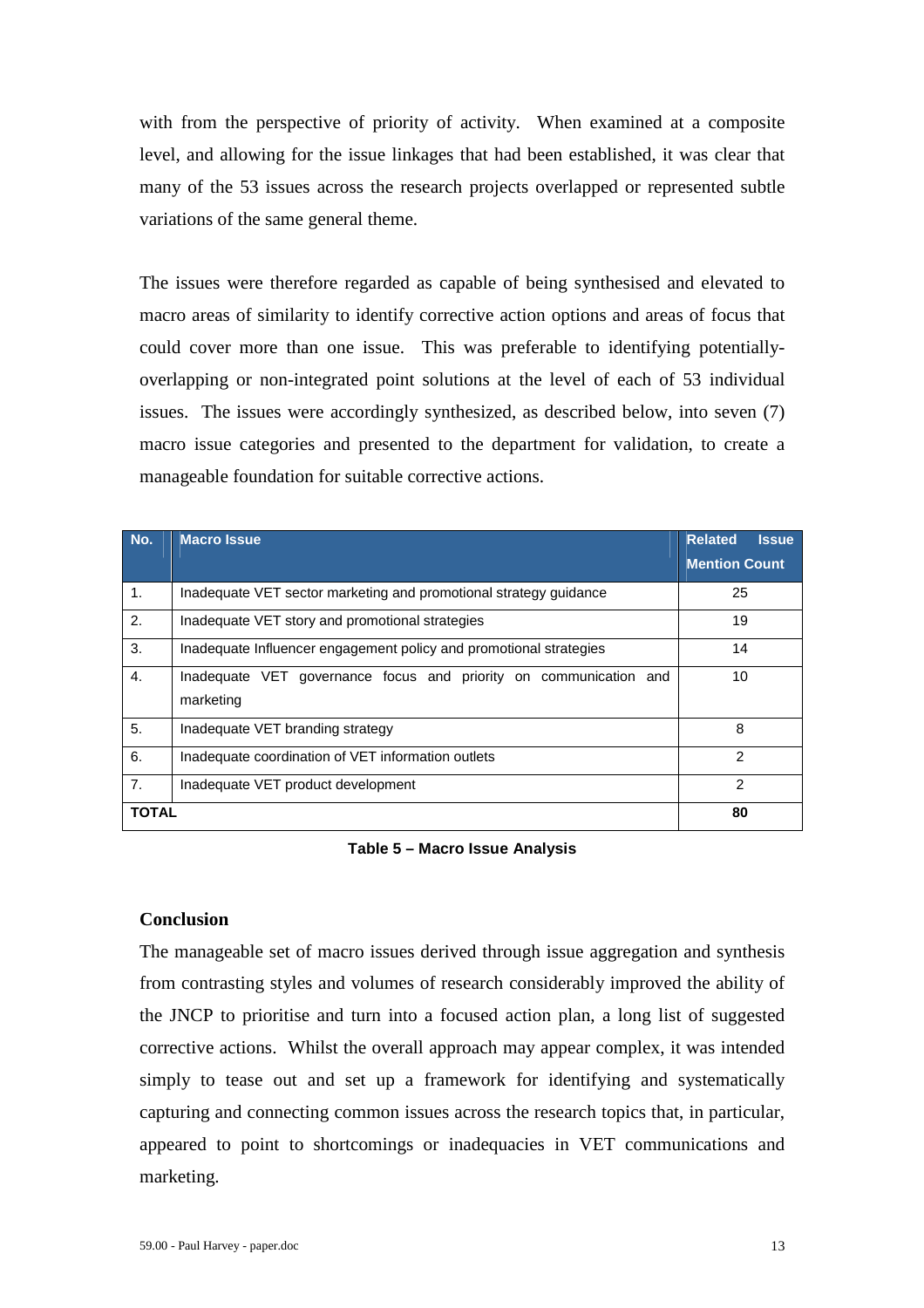with from the perspective of priority of activity. When examined at a composite level, and allowing for the issue linkages that had been established, it was clear that many of the 53 issues across the research projects overlapped or represented subtle variations of the same general theme.

The issues were therefore regarded as capable of being synthesised and elevated to macro areas of similarity to identify corrective action options and areas of focus that could cover more than one issue. This was preferable to identifying potentiallyoverlapping or non-integrated point solutions at the level of each of 53 individual issues. The issues were accordingly synthesized, as described below, into seven (7) macro issue categories and presented to the department for validation, to create a manageable foundation for suitable corrective actions.

| No.          | <b>Macro Issue</b>                                                             | <b>Related</b><br><b>Issue</b> |
|--------------|--------------------------------------------------------------------------------|--------------------------------|
|              |                                                                                | <b>Mention Count</b>           |
| 1.           | Inadequate VET sector marketing and promotional strategy quidance              | 25                             |
| 2.           | Inadequate VET story and promotional strategies                                | 19                             |
| 3.           | Inadequate Influencer engagement policy and promotional strategies             | 14                             |
| 4.           | Inadequate VET governance focus and priority on communication and<br>marketing | 10                             |
| 5.           | Inadequate VET branding strategy                                               | 8                              |
| 6.           | Inadequate coordination of VET information outlets                             | 2                              |
| 7.           | Inadequate VET product development                                             | 2                              |
| <b>TOTAL</b> |                                                                                | 80                             |

#### **Table 5 – Macro Issue Analysis**

## **Conclusion**

The manageable set of macro issues derived through issue aggregation and synthesis from contrasting styles and volumes of research considerably improved the ability of the JNCP to prioritise and turn into a focused action plan, a long list of suggested corrective actions. Whilst the overall approach may appear complex, it was intended simply to tease out and set up a framework for identifying and systematically capturing and connecting common issues across the research topics that, in particular, appeared to point to shortcomings or inadequacies in VET communications and marketing.